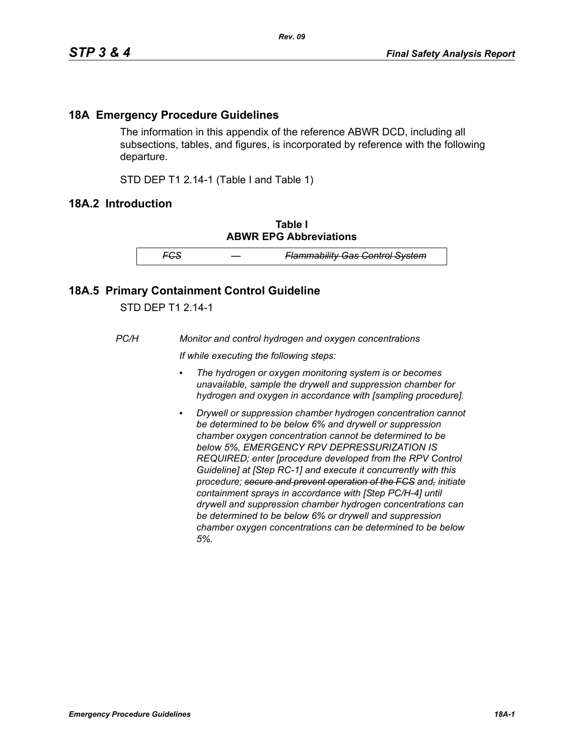## **18A Emergency Procedure Guidelines**

The information in this appendix of the reference ABWR DCD, including all subsections, tables, and figures, is incorporated by reference with the following departure.

STD DEP T1 2.14-1 (Table I and Table 1)

## **18A.2 Introduction**

**Table I ABWR EPG Abbreviations**

*FCS — Flammability Gas Control System*

## **18A.5 Primary Containment Control Guideline**

STD DEP T1 2.14-1

*PC/H Monitor and control hydrogen and oxygen concentrations*

*If while executing the following steps:*

- *▪ The hydrogen or oxygen monitoring system is or becomes unavailable, sample the drywell and suppression chamber for hydrogen and oxygen in accordance with [sampling procedure].*
- *Drywell or suppression chamber hydrogen concentration cannot be determined to be below 6% and drywell or suppression chamber oxygen concentration cannot be determined to be below 5%, EMERGENCY RPV DEPRESSURIZATION IS REQUIRED; enter [procedure developed from the RPV Control Guideline] at [Step RC-1] and execute it concurrently with this procedure; secure and prevent operation of the FCS and, initiate containment sprays in accordance with [Step PC/H-4] until drywell and suppression chamber hydrogen concentrations can be determined to be below 6% or drywell and suppression chamber oxygen concentrations can be determined to be below 5%.*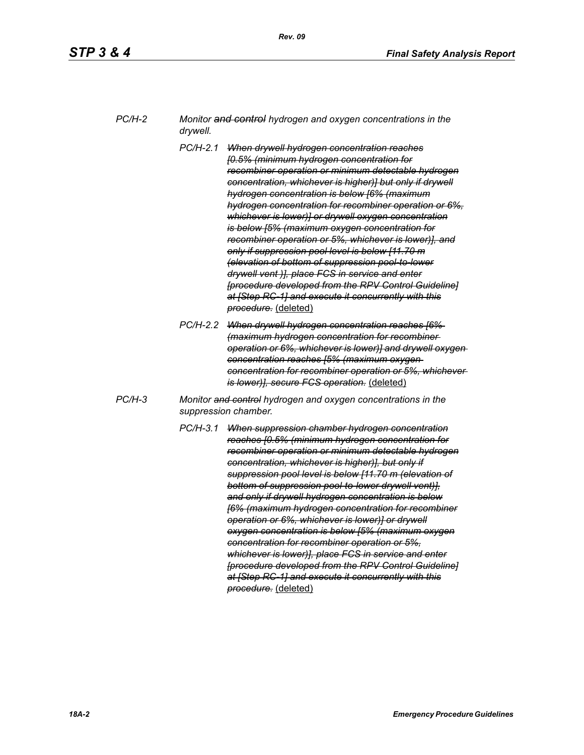| PC/H-2 | Monitor and control hydrogen and oxygen concentrations in the |
|--------|---------------------------------------------------------------|
|        | drywell.                                                      |

- *PC/H-2.1 When drywell hydrogen concentration reaches [0.5% (minimum hydrogen concentration for recombiner operation or minimum detectable hydrogen concentration, whichever is higher)] but only if drywell hydrogen concentration is below [6% (maximum hydrogen concentration for recombiner operation or 6%, whichever is lower)] or drywell oxygen concentration is below [5% (maximum oxygen concentration for recombiner operation or 5%, whichever is lower)], and only if suppression pool level is below [11.70 m (elevation of bottom of suppression pool-to-lower drywell vent )], place FCS in service and enter [procedure developed from the RPV Control Guideline] at [Step RC-1] and execute it concurrently with this procedure.* (deleted)
- *PC/H-2.2 When drywell hydrogen concentration reaches [6% (maximum hydrogen concentration for recombiner operation or 6%, whichever is lower)] and drywell oxygen concentration reaches [5% (maximum oxygen concentration for recombiner operation or 5%, whichever is lower)], secure FCS operation.* (deleted)
- *PC/H-3 Monitor and control hydrogen and oxygen concentrations in the suppression chamber.*
	- *PC/H-3.1 When suppression chamber hydrogen concentration reaches [0.5% (minimum hydrogen concentration for recombiner operation or minimum detectable hydrogen concentration, whichever is higher)], but only if suppression pool level is below [11.70 m (elevation of bottom of suppression pool-to-lower drywell vent)], and only if drywell hydrogen concentration is below [6% (maximum hydrogen concentration for recombiner operation or 6%, whichever is lower)] or drywell oxygen concentration is below [5% (maximum oxygen concentration for recombiner operation or 5%, whichever is lower)], place FCS in service and enter [procedure developed from the RPV Control Guideline] at [Step RC-1] and execute it concurrently with this procedure.* (deleted)